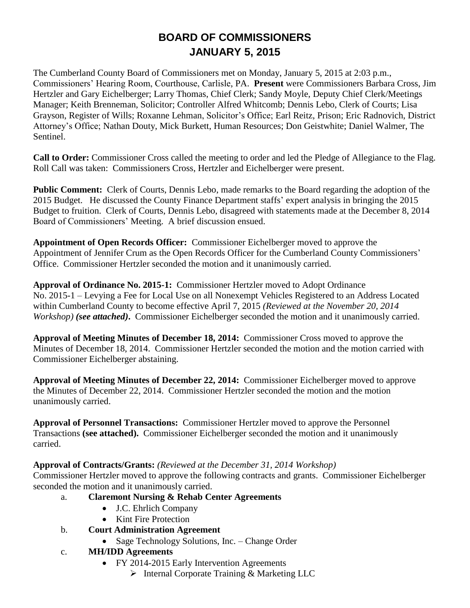# **BOARD OF COMMISSIONERS JANUARY 5, 2015**

The Cumberland County Board of Commissioners met on Monday, January 5, 2015 at 2:03 p.m., Commissioners' Hearing Room, Courthouse, Carlisle, PA. **Present** were Commissioners Barbara Cross, Jim Hertzler and Gary Eichelberger; Larry Thomas, Chief Clerk; Sandy Moyle, Deputy Chief Clerk/Meetings Manager; Keith Brenneman, Solicitor; Controller Alfred Whitcomb; Dennis Lebo, Clerk of Courts; Lisa Grayson, Register of Wills; Roxanne Lehman, Solicitor's Office; Earl Reitz, Prison; Eric Radnovich, District Attorney's Office; Nathan Douty, Mick Burkett, Human Resources; Don Geistwhite; Daniel Walmer, The Sentinel.

**Call to Order:** Commissioner Cross called the meeting to order and led the Pledge of Allegiance to the Flag. Roll Call was taken: Commissioners Cross, Hertzler and Eichelberger were present.

**Public Comment:** Clerk of Courts, Dennis Lebo, made remarks to the Board regarding the adoption of the 2015 Budget. He discussed the County Finance Department staffs' expert analysis in bringing the 2015 Budget to fruition. Clerk of Courts, Dennis Lebo, disagreed with statements made at the December 8, 2014 Board of Commissioners' Meeting. A brief discussion ensued.

**Appointment of Open Records Officer:** Commissioner Eichelberger moved to approve the Appointment of Jennifer Crum as the Open Records Officer for the Cumberland County Commissioners' Office. Commissioner Hertzler seconded the motion and it unanimously carried.

**Approval of Ordinance No. 2015-1:** Commissioner Hertzler moved to Adopt Ordinance No. 2015-1 – Levying a Fee for Local Use on all Nonexempt Vehicles Registered to an Address Located within Cumberland County to become effective April 7, 2015 *(Reviewed at the November 20, 2014 Workshop) (see attached)***.** Commissioner Eichelberger seconded the motion and it unanimously carried.

**Approval of Meeting Minutes of December 18, 2014:** Commissioner Cross moved to approve the Minutes of December 18, 2014. Commissioner Hertzler seconded the motion and the motion carried with Commissioner Eichelberger abstaining.

**Approval of Meeting Minutes of December 22, 2014:** Commissioner Eichelberger moved to approve the Minutes of December 22, 2014. Commissioner Hertzler seconded the motion and the motion unanimously carried.

**Approval of Personnel Transactions:** Commissioner Hertzler moved to approve the Personnel Transactions **(see attached).** Commissioner Eichelberger seconded the motion and it unanimously carried.

#### **Approval of Contracts/Grants:** *(Reviewed at the December 31, 2014 Workshop)*

Commissioner Hertzler moved to approve the following contracts and grants. Commissioner Eichelberger seconded the motion and it unanimously carried.

# a. **Claremont Nursing & Rehab Center Agreements**

- J.C. Ehrlich Company
- Kint Fire Protection
- b. **Court Administration Agreement** 
	- Sage Technology Solutions, Inc. Change Order
- c. **MH/IDD Agreements** 
	- FY 2014-2015 Early Intervention Agreements
		- Internal Corporate Training & Marketing LLC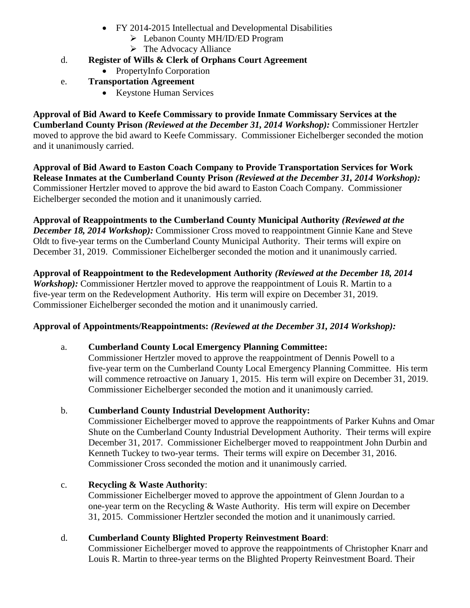- FY 2014-2015 Intellectual and Developmental Disabilities
	- Lebanon County MH/ID/ED Program
	- $\triangleright$  The Advocacy Alliance
- d. **Register of Wills & Clerk of Orphans Court Agreement**
	- PropertyInfo Corporation
- e. **Transportation Agreement** 
	- Keystone Human Services

**Approval of Bid Award to Keefe Commissary to provide Inmate Commissary Services at the Cumberland County Prison** *(Reviewed at the December 31, 2014 Workshop):* Commissioner Hertzler moved to approve the bid award to Keefe Commissary. Commissioner Eichelberger seconded the motion and it unanimously carried.

**Approval of Bid Award to Easton Coach Company to Provide Transportation Services for Work Release Inmates at the Cumberland County Prison** *(Reviewed at the December 31, 2014 Workshop):* Commissioner Hertzler moved to approve the bid award to Easton Coach Company. Commissioner Eichelberger seconded the motion and it unanimously carried.

**Approval of Reappointments to the Cumberland County Municipal Authority** *(Reviewed at the December 18, 2014 Workshop):* Commissioner Cross moved to reappointment Ginnie Kane and Steve Oldt to five-year terms on the Cumberland County Municipal Authority. Their terms will expire on December 31, 2019. Commissioner Eichelberger seconded the motion and it unanimously carried.

**Approval of Reappointment to the Redevelopment Authority** *(Reviewed at the December 18, 2014 Workshop*): Commissioner Hertzler moved to approve the reappointment of Louis R. Martin to a five-year term on the Redevelopment Authority. His term will expire on December 31, 2019. Commissioner Eichelberger seconded the motion and it unanimously carried.

# **Approval of Appointments/Reappointments:** *(Reviewed at the December 31, 2014 Workshop):*

# a. **Cumberland County Local Emergency Planning Committee:**

Commissioner Hertzler moved to approve the reappointment of Dennis Powell to a five-year term on the Cumberland County Local Emergency Planning Committee. His term will commence retroactive on January 1, 2015. His term will expire on December 31, 2019. Commissioner Eichelberger seconded the motion and it unanimously carried.

# b. **Cumberland County Industrial Development Authority:**

Commissioner Eichelberger moved to approve the reappointments of Parker Kuhns and Omar Shute on the Cumberland County Industrial Development Authority. Their terms will expire December 31, 2017. Commissioner Eichelberger moved to reappointment John Durbin and Kenneth Tuckey to two-year terms. Their terms will expire on December 31, 2016. Commissioner Cross seconded the motion and it unanimously carried.

# c. **Recycling & Waste Authority**:

Commissioner Eichelberger moved to approve the appointment of Glenn Jourdan to a one-year term on the Recycling & Waste Authority. His term will expire on December 31, 2015. Commissioner Hertzler seconded the motion and it unanimously carried.

# d. **Cumberland County Blighted Property Reinvestment Board**:

Commissioner Eichelberger moved to approve the reappointments of Christopher Knarr and Louis R. Martin to three-year terms on the Blighted Property Reinvestment Board. Their